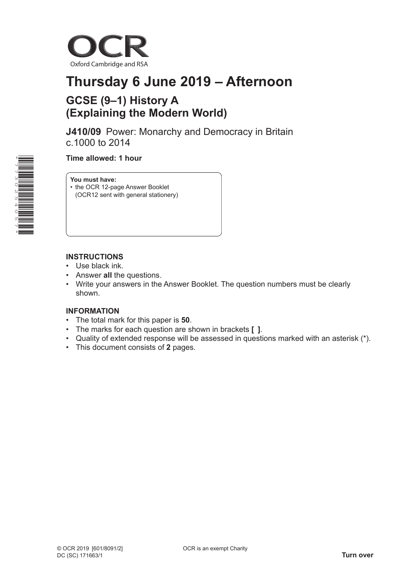

# **Thursday 6 June 2019 – Afternoon**

## **GCSE (9–1) History A (Explaining the Modern World)**

**J410/09** Power: Monarchy and Democracy in Britain c.1000 to 2014

 **Time allowed: 1 hour**

**You must have:**

- the OCR 12-page Answer Booklet
- (OCR12 sent with general stationery)

### **INSTRUCTIONS**

- Use black ink.
- Answer **all** the questions.
- Write your answers in the Answer Booklet. The question numbers must be clearly shown.

### **INFORMATION**

- The total mark for this paper is **50**.
- The marks for each question are shown in brackets **[ ]**.
- Quality of extended response will be assessed in questions marked with an asterisk (\*).
- This document consists of **2** pages.